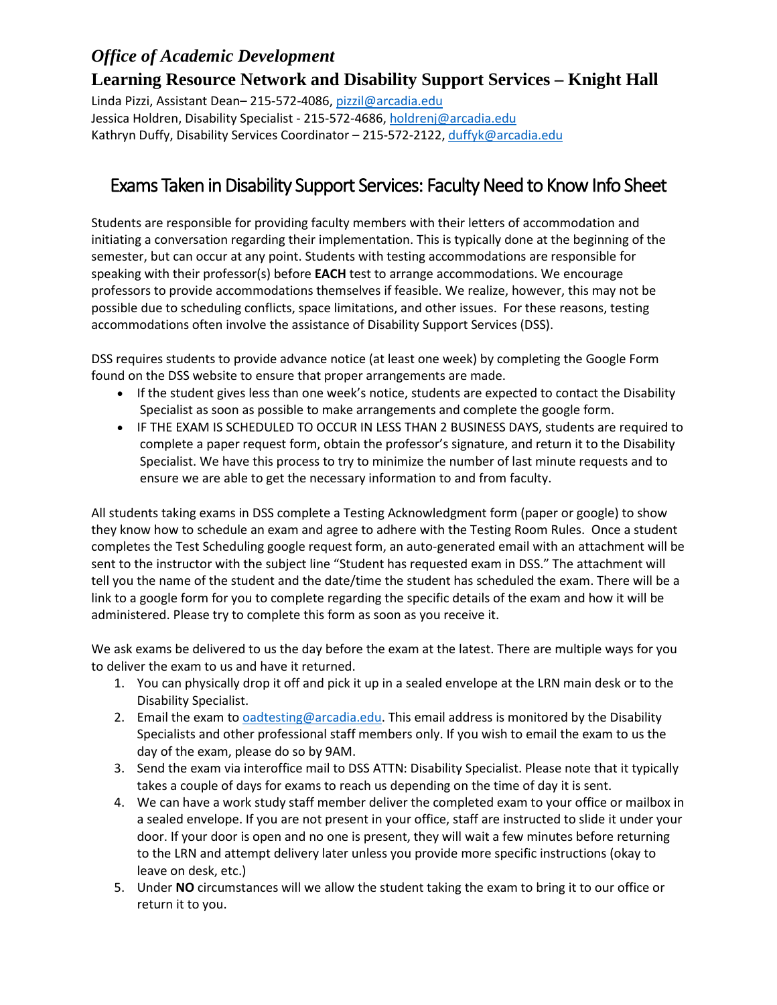## *Office of Academic Development*

**Learning Resource Network and Disability Support Services – Knight Hall** Linda Pizzi, Assistant Dean– 215-572-4086, [pizzil@arcadia.edu](mailto:pizzil@arcadia.edu) Jessica Holdren, Disability Specialist - 215-572-4686, [holdrenj@arcadia.edu](mailto:holdrenj@arcadia.edu) Kathryn Duffy, Disability Services Coordinator - 215-572-2122, [duffyk@arcadia.edu](mailto:duffyk@arcadia.edu)

## Exams Taken in Disability Support Services: Faculty Need to Know Info Sheet

Students are responsible for providing faculty members with their letters of accommodation and initiating a conversation regarding their implementation. This is typically done at the beginning of the semester, but can occur at any point. Students with testing accommodations are responsible for speaking with their professor(s) before **EACH** test to arrange accommodations. We encourage professors to provide accommodations themselves if feasible. We realize, however, this may not be possible due to scheduling conflicts, space limitations, and other issues. For these reasons, testing accommodations often involve the assistance of Disability Support Services (DSS).

DSS requires students to provide advance notice (at least one week) by completing the Google Form found on the DSS website to ensure that proper arrangements are made.

- If the student gives less than one week's notice, students are expected to contact the Disability Specialist as soon as possible to make arrangements and complete the google form.
- IF THE EXAM IS SCHEDULED TO OCCUR IN LESS THAN 2 BUSINESS DAYS, students are required to complete a paper request form, obtain the professor's signature, and return it to the Disability Specialist. We have this process to try to minimize the number of last minute requests and to ensure we are able to get the necessary information to and from faculty.

All students taking exams in DSS complete a Testing Acknowledgment form (paper or google) to show they know how to schedule an exam and agree to adhere with the Testing Room Rules. Once a student completes the Test Scheduling google request form, an auto-generated email with an attachment will be sent to the instructor with the subject line "Student has requested exam in DSS." The attachment will tell you the name of the student and the date/time the student has scheduled the exam. There will be a link to a google form for you to complete regarding the specific details of the exam and how it will be administered. Please try to complete this form as soon as you receive it.

We ask exams be delivered to us the day before the exam at the latest. There are multiple ways for you to deliver the exam to us and have it returned.

- 1. You can physically drop it off and pick it up in a sealed envelope at the LRN main desk or to the Disability Specialist.
- 2. Email the exam to [oadtesting@arcadia.edu.](mailto:oadtesting@arcadia.edu) This email address is monitored by the Disability Specialists and other professional staff members only. If you wish to email the exam to us the day of the exam, please do so by 9AM.
- 3. Send the exam via interoffice mail to DSS ATTN: Disability Specialist. Please note that it typically takes a couple of days for exams to reach us depending on the time of day it is sent.
- 4. We can have a work study staff member deliver the completed exam to your office or mailbox in a sealed envelope. If you are not present in your office, staff are instructed to slide it under your door. If your door is open and no one is present, they will wait a few minutes before returning to the LRN and attempt delivery later unless you provide more specific instructions (okay to leave on desk, etc.)
- 5. Under **NO** circumstances will we allow the student taking the exam to bring it to our office or return it to you.